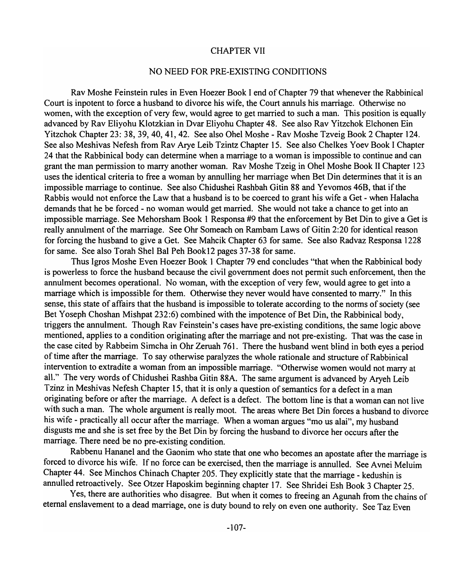## CHAPTER VII

## NO NEED FOR PRE-EXISTING CONDITIONS

Rav Moshe Feinstein rules in Even Hoezer Book I end of Chapter 79 that whenever the Rabbinical Court is inpotent to force a husband to divorce his wife, the Court annuls his marriage. Otherwise no women, with the exception of very few, would agree to get married to such a man. This position is equally advanced by Rav Eliyohu Klotzkian in Dvar Eliyohu Chapter 48. See also Rav Yitzchok Elchonen Ein Yitzchok Chapter 23: 38, 39,40,41,42. See also Ohel Moshe - Rav Moshe Tzveig Book 2 Chapter 124. See also Meshivas Nefesh from Rav Arye Leib Tzintz Chapter 15. See also Chelkes Yoev Book I Chapter 24 that the Rabbinical body can determine when a marriage to a woman is impossible to continue and can grant the man permission to marry another woman. Rav Moshe Tzeig in Ohel Moshe Book II Chapter 123 uses the identical criteria to free a woman by annulling her marriage when Bet Din determines that it is an impossible marriage to continue. See also Chidushei Rashbah Gitin 88 and Yevomos 46B, that if the Rabbis would not enforce the Law that a husband is to be coerced to grant his wife a Get - when Halacha demands that he be forced - no woman would get married. She would not take a chance to get into an impossible marriage. See Mehorsham Book 1 Responsa #9 that the enforcement by Bet Din to give a Get is really annulment of the marriage. See Ohr Someach on Rambam Laws of Gitin 2:20 for identical reason for forcing the husband to give a Get. See Mahcik Chapter 63 for same. See also Radvaz Responsa 1228 for same. See also Torah Shel Bal Peh Book12 pages 37-38 for same.

Thus Igros Moshe Even Hoezer Book 1 Chapter 79 end concludes "that when the Rabbinical body is powerless to force the husband because the civil government does not permit such enforcement, then the annulment becomes operational. No woman, with the exception of very few, would agree to get into a marriage which is impossible for them. Otherwise they never would have consented to marry." In this sense, this state of affairs that the husband is impossible to tolerate according to the norms of society (see Bet Yoseph Choshan Mishpat 232:6) combined with the impotence of Bet Din, the Rabbinical body, triggers the annulment. Though Rav Feinstein's cases have pre-existing conditions, the same logic above mentioned, applies to a condition originating after the marriage and not pre-existing. That was the case in the case cited by Rabbeim Simcha in Ohr Zeruah 761. There the husband went blind in both eyes a period of time after the marriage. To say otherwise paralyzes the whole rationale and structure of Rabbinical intervention to extradite a woman from an impossible marriage. "Otherwise women would not marry at all." The very words of Chidushei Rashba Gitin 88A. The same argument is advanced by Aryeh Leib Tzinz in Meshivas Nefesh Chapter 15, that it is only a question of semantics for a defect in a man originating before or after the marriage. A defect is a defect. The bottom line is that a woman can not live with such a man. The whole argument is really moot. The areas where Bet Din forces a husband to divorce his wife - practically all occur after the marriage. When a woman argues "mo us alai", my husband disgusts me and she is set free by the Bet Din by forcing the husband to divorce her occurs after the marriage. There need be no pre-existing condition.

Rabbenu Hananel and the Gaonim who state that one who becomes an apostate after the marriage is forced to divorce his wife. If no force can be exercised, then the marriage is annulled. See Avnei Meluim Chapter 44. See Minchos Chinach Chapter 205. They explicitly state that the marriage - kedushin is annulled retroactively. See Otzer Haposkim beginning chapter 17. See Shridei Esh Book 3 Chapter 25.

Yes, there are authorities who disagree. But when it comes to freeing an Agunah from the chains of eternal enslavement to a dead marriage, one is duty bound to rely on even one authority. See Taz Even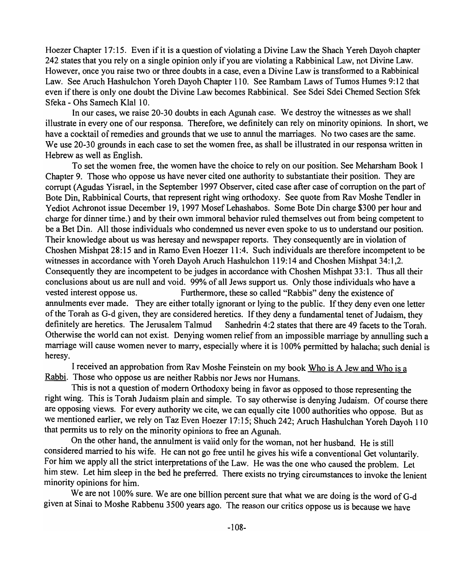Hoezer Chapter 17:15. Even ifit is a question of violating a Divine Law the Shach Yereh Dayoh chapter 242 states that you rely on a single opinion only if you are violating a Rabbinical Law, not Divine Law. However, once you raise two or three doubts in a case, even a Divine Law is transformed to a Rabbinical Law. See Aruch Hashulchon Yoreh Dayoh Chapter 110. See Rambam Laws of Tumos Humes 9:12 that even if there is only one doubt the Divine Law becomes Rabbinical. See Sdei Sdei Chemed Section Sfek Sfeka - Ohs Samech Klal 10.

In our cases, we raise 20-30 doubts in each Agunah case. We destroy the witnesses as we shall illustrate in every one of our responsa. Therefore, we definitely can rely on minority opinions. In short, we have a cocktail of remedies and grounds that we use to annul the marriages. No two cases are the same. We use 20-30 grounds in each case to set the women free, as shall be illustrated in our responsa written in Hebrew as well as English.

To set the women free, the women have the choice to rely on our position. See Meharsham Book 1 Chapter 9. Those who oppose us have never cited one authority to substantiate their position. They are corrupt (Agudas Yisrael, in the September 1997 Observer, cited case after case of corruption on the part of Bote Din, Rabbinical Courts, that represent right wing orthodoxy. See quote from Rav Moshe Tendler in Yediot Achronot issue December 19, 1997 Mosef Lehashabos. Some Bote Din charge \$300 per hour and charge for dinner time.) and by their own immoral behavior ruled themselves out from being competent to be a Bet Din. All those individuals who condemned us never even spoke to us to understand our position. Their knowledge about us was heresay and newspaper reports. They consequently are in violation of Choshen Mishpat 28: 15 and in Ramo Even Hoezer 11 :4. Such individuals are therefore incompetent to be witnesses in accordance with Yoreh Dayoh Aruch Hashulchon 119:14 and Choshen Mishpat 34:1,2. Consequently they are incompetent to be judges in accordance with Choshen Mishpat 33: 1. Thus all their conclusions about us are null and void. 99% of all Jews support us. Only those individuals who have a vested interest oppose us. Furthermore, these so called "Rabbis" deny the existence of annulments ever made. They are either totally ignorant or lying to the public. If they deny even one letter of the Torah as G-d given, they are considered heretics. If they deny a fundamental tenet of Judaism, they definitely are heretics. The Jerusalem Talmud Sanhedrin 4:2 states that there are 49 facets to the Torah. Otherwise the world can not exist. Denying women relief from an impossible marriage by annulling such a marriage will cause women never to marry, especially where it is 100% permitted by halacha; such denial is heresy.

I received an approbation from Rav Moshe Feinstein on my book Who is A Jew and Who is a Rabbi. Those who oppose us are neither Rabbis nor Jews nor Humans.

This is not a question of modem Orthodoxy being in favor as opposed to those representing the right wing. This is Torah Judaism plain and simple. To say otherwise is denying Judaism. Of course there are opposing views. For every authority we cite, we can equally cite 1000 authorities who oppose. But as we mentioned earlier, we rely on Taz Even Hoezer 17:15; Shuch 242; Aruch Hashulchan Yoreh Oayoh 110 that permits us to rely on the minority opinions to free an Agunah.

On the other hand, the annulment is valid only for the woman, not her husband. He is still considered married to his wife. He can not go free until he gives his wife a conventional Get voluntarily. For him we apply all the strict interpretations of the Law. He was the one who caused the problem. Let him stew. Let him sleep in the bed he preferred. There exists no trying circumstances to invoke the lenient minority opinions for him.

We are not 100% sure. We are one billion percent sure that what we are doing is the word of G-d given at Sinai to Moshe Rabbenu 3500 years ago. The reason our critics oppose us is because we have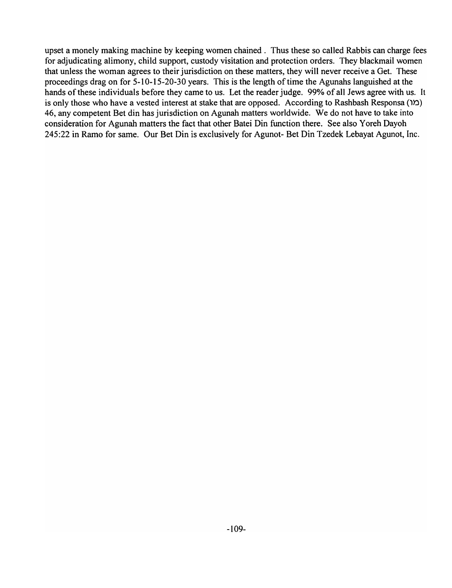upset a monely making machine by keeping women chained. Thus these so called Rabbis can charge fees for adjudicating alimony, child support, custody visitation and protection orders. They blackmail women that unless the woman agrees to their jurisdiction on these matters, they will never receive a Get. These proceedings drag on for 5-10-15-20-30 years. This is the length of time the Agunahs languished at the hands of these individuals before they came to us. Let the reader judge. 99% of all Jews agree with us. It is only those who have a vested interest at stake that are opposed. According to Rashbash Responsa  $(1)$ ) 46, any competent Bet din has jurisdiction on Agunah matters worldwide. We do not have to take into consideration for Agunah matters the fact that other Batei Din function there. See also Y oreh Dayoh 245:22 in Ramo for same. Our Bet Din is exclusively for Agunot- Bet Din Tzedek Lebayat Agunot, Inc.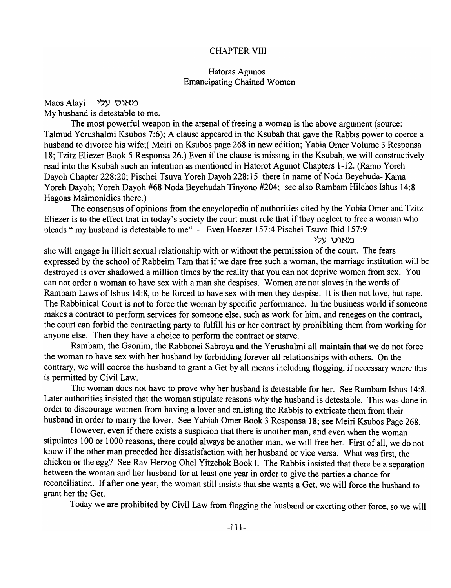## CHAPTER VIII

## Hatoras Agunos Emancipating Chained Women

Maos Alayi 'עלי My husband is detestable to me.

The most powerful weapon in the arsenal of freeing a woman is the above argument (source: Talmud Yerushalmi Ksubos 7:6); A clause appeared in the Ksubah that gave the Rabbis power to coerce a husband to divorce his wife;(Meiri on Ksubos page 268 in new edition; Yabia Omer Volume 3 Responsa 18; Tzitz Eliezer Book 5 Responsa 26.) Even if the clause is missing in the Ksubah, we will constructively read into the Ksubah such an intention as mentioned in Hatorot Agunot Chapters 1-12. (Ramo Yoreh Dayoh Chapter 228:20; Pischei Tsuva Yoreh Dayoh 228:15 there in name of Noda Beyehuda- Kama Yoreh Dayoh; Yoreh Dayoh #68 Noda Beyehudah Tinyono #204; see also Rambam Hilchos Ishus 14:8 Hagoas Maimonidies there.)

The consensus of opinions from the encyclopedia of authorities cited by the Yobia Omer and Tzitz Eliezer is to the effect that in today's society the court must rule that if they neglect to free a woman who pleads" my husband is detestable to me" - Even Hoezer 157:4 Pischei Tsuvo Ibid 157:9

מאוס עלי

she will engage in illicit sexual relationship with or without the permission of the court. The fears expressed by the school of Rabbeim Tam that if we dare free such a woman, the marriage institution will be destroyed is over shadowed a million times by the reality that you can not deprive women from sex. You can not order a woman to have sex with a man she despises. Women are not slaves in the words of Rambam Laws of Ishus 14:8, to be forced to have sex with men they despise. It is then not love, but rape. The Rabbinical Court is not to force the woman by specific performance. In the business world if someone makes a contract to perform services for someone else, such as work for him, and reneges on the contract, the court can forbid the contracting party to fulfill his or her contract by prohibiting them from working for anyone else. Then they have a choice to perform the contract or starve.

Rambam, the Gaonim, the Rabbonei Sabroya and the Yerushalmi all maintain that we do not force the woman to have sex with her husband by forbidding forever all relationships with others. On the contrary, we will coerce the husband to grant a Get by all means including flogging, if necessary where this is permitted by Civil Law.

The woman does not have to prove why her husband is detestable for her. See Rambam Ishus 14:8. Later authorities insisted that the woman stipulate reasons why the husband is detestable. This was done in order to discourage women from having a lover and enlisting the Rabbis to extricate them from their husband in order to marry the lover. See Yabiah Omer Book 3 Responsa 18; see Meiri Ksubos Page 268.

However, even if there exists a suspicion that there is another man, and even when the woman stipulates 100 or 1000 reasons, there could always be another man, we will free her. First of all, we do not know if the other man preceded her dissatisfaction with her husband or vice versa. What was first, the chicken or the egg? See Rav Herzog Ohel Yitzchok Book I. The Rabbis insisted that there be a separation between the woman and her husband for at least one year in order to give the parties a chance for reconciliation. If after one year, the woman still insists that she wants a Get, we will force the husband to grant her the Get.

Today we are prohibited by Civil Law from flogging the husband or exerting other force, so we will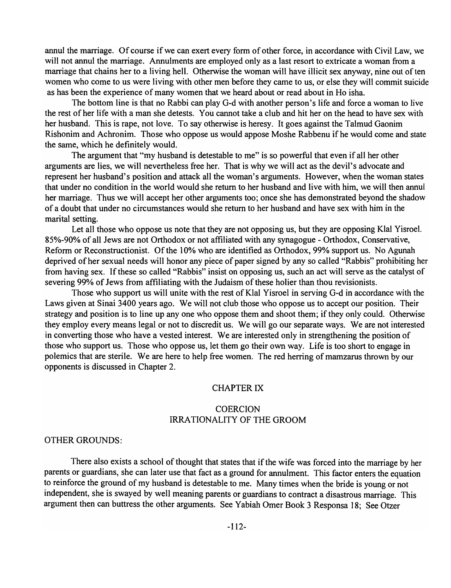annul the marriage. Of course if we can exert every form of other force, in accordance with Civil Law, we will not annul the marriage. Annulments are employed only as a last resort to extricate a woman from a marriage that chains her to a living hell. Otherwise the woman will have illicit sex anyway, nine out of ten women who come to us were living with other men before they came to us, or else they will commit suicide as has been the experience of many women that we heard about or read about in Ho isha.

The bottom line is that no Rabbi can play G-d with another person's life and force a woman to live the rest of her life with a man she detests. You cannot take a club and hit her on the head to have sex with her husband. This is rape, not love. To say otherwise is heresy. It goes against the Talmud Gaonim Rishonim and Achronim. Those who oppose us would appose Moshe Rabbenu if he would come and state the same, which he definitely would.

The argument that "my husband is detestable to me" is so powerful that even if all her other arguments are lies, we will nevertheless free her. That is why we will act as the devil's advocate and represent her husband's position and attack all the woman's arguments. However, when the woman states that under no condition in the world would she return to her husband and live with him, we will then annul her marriage. Thus we will accept her other arguments too; once she has demonstrated beyond the shadow of a doubt that under no circumstances would she return to her husband and have sex with him in the marital setting.

Let all those who oppose us note that they are not opposing us, but they are opposing Klal Yisroel. 85%-90% of all Jews are not Orthodox or not affiliated with any synagogue - Orthodox, Conservative, Reform or Reconstructionist. Of the 10% who are identified as Orthodox, 99% support us. No Agunah deprived of her sexual needs will honor any piece of paper signed by any so called "Rabbis" prohibiting her from having sex. If these so called "Rabbis" insist on opposing us, such an act will serve as the catalyst of severing 99% of Jews from affiliating with the Judaism of these holier than thou revisionists.

Those who support us will unite with the rest of Klal Yisroel in serving G-d in accordance with the Laws given at Sinai 3400 years ago. We will not club those who oppose us to accept our position. Their strategy and position is to line up any one who oppose them and shoot them; if they only could. Otherwise they employ every means legal or not to discredit us. We will go our separate ways. We are not interested in converting those who have a vested interest. We are interested only in strengthening the position of those who support us. Those who oppose us, let them go their own way. Life is too short to engage in polemics that are sterile. We are here to help free women. The red herring of mamzarus thrown by our opponents is discussed in Chapter 2.

### CHAPTER IX

## **COERCION** IRRATIONALITY OF THE GROOM

### OTHER GROUNDS:

There also exists a school of thought that states that if the wife was forced into the marriage by her parents or guardians, she can later use that fact as a ground for annulment. This factor enters the equation to reinforce the ground of my husband is detestable to me. Many times when the bride is young or not independent, she is swayed by well meaning parents or guardians to contract a disastrous marriage. This argument then can buttress the other arguments. See Yabiah Orner Book 3 Responsa 18; See Otzer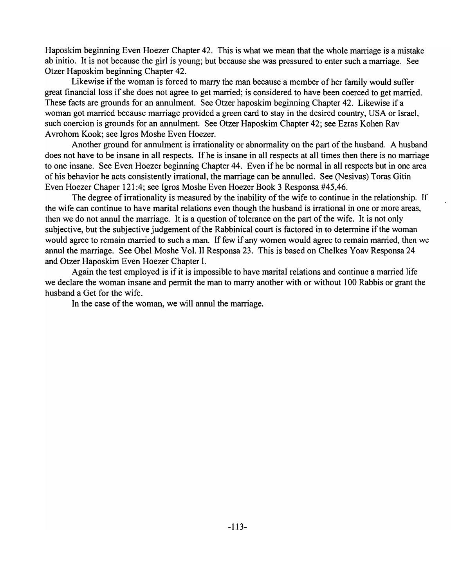Haposkim beginning Even Hoezer Chapter 42. This is what we mean that the whole marriage is a mistake ab initio. It is not because the girl is young; but because she was pressured to enter such a marriage. See Otzer Haposkim beginning Chapter 42.

Likewise if the woman is forced to marry the man because a member of her family would suffer great financial loss if she does not agree to get married; is considered to have been coerced to get married. These facts are grounds for an annulment. See Otzer haposkim beginning Chapter 42. Likewise if a woman got married because marriage provided a green card to stay in the desired country, USA or Israel, such coercion is grounds for an annulment. See Otzer Haposkim Chapter 42; see Ezras Kohen Rav A vrohom Kook; see Igros Moshe Even Hoezer.

Another ground for annulment is irrationality or abnormality on the part of the husband. A husband does not have to be insane in all respects. If he is insane in all respects at all times then there is no marriage to one insane. See Even Hoezer beginning Chapter 44. Even if he be normal in all respects but in one area of his behavior he acts consistently irrational, the marriage can be annulled. See (Nesivas) Toras Gitin Even Hoezer Chaper 121 :4; see Igros Moshe Even Hoezer Book 3 Responsa #45,46.

The degree of irrationality is measured by the inability of the wife to continue in the relationship. If the wife can continue to have marital relations even though the husband is irrational in one or more areas, then we do not annul the marriage. It is a question of tolerance on the part of the wife. It is not only subjective, but the subjective judgement of the Rabbinical court is factored in to determine if the woman would agree to remain married to such a man. If few if any women would agree to remain married, then we annul the marriage. See Ohel Moshe Vol. II Responsa 23. This is based on Chelkes Yoav Responsa 24 and Otzer Haposkim Even Hoezer Chapter I.

Again the test employed is if it is impossible to have marital relations and continue a married life we declare the woman insane and permit the man to marry another with or without 100 Rabbis or grant the husband a Get for the wife.

In the case of the woman, we will annul the marriage.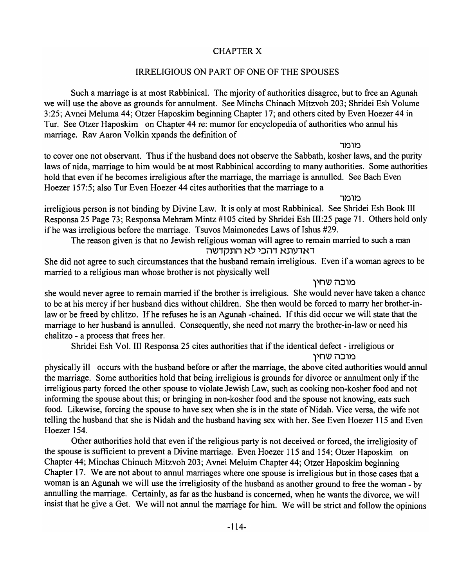# CHAPTER X

# IRRELIGIOUS ON PART OF ONE OF THE SPOUSES

Such a marriage is at most Rabbinical. The mjority of authorities disagree, but to free an Agunah we will use the above as grounds for annulment. See Minchs Chinach Mitzvoh 203; Shridei Esh Volume 3:25; Avnei Meluma 44; Otzer Haposkim beginning Chapter 17; and others cited by Even Hoezer 44 in Tur. See Otzer Haposkim on Chapter 44 re: mumor for encyclopedia of authorities who annul his marriage. Rav Aaron Volkin xpands the definition of

מומר

to cover one not observant. Thus if the husband does not observe the Sabbath, kosher laws, and the purity laws of nida, marriage to him would be at most Rabbinical according to many authorities. Some authorities hold that even if he becomes irreligious after the marriage, the marriage is annulled. See Bach Even Hoezer 157:5; also Tur Even Hoezer 44 cites authorities that the marriage to a

מומר

irreligious person is not binding by Divine Law. It is only at most Rabbinical. See Shridei Esh Book III Responsa 25 Page 73; Responsa Mehram Mintz #105 cited by Shridei Esh III:25 page 71. Others hold only if he was irreligious before the marriage. Tsuvos Maimonedes Laws of Ishus #29.

The reason given is that no Jewish religious woman will agree to remain married to such a man דאדעתא דהכי לא התקדשה

She did not agree to such circumstances that the husband remain irreligious. Even if a woman agrees to be married to a religious man whose brother is not physically well

מוכה שחין

she would never agree to remain married if the brother is irreligious. She would never have taken a chance to be at his mercy if her husband dies without children. She then would be forced to marry her brother-inlaw or be freed by chlitzo. If he refuses he is an Agunah -chained. If this did occur we will state that the marriage to her husband is annulled. Consequently, she need not marry the brother-in-law or need his chalitzo - a process that frees her.

Shridei Esh Vol. III Responsa 25 cites authorities that if the identical defect - irreligious or

מוכה שחין

physically ill occurs with the husband before or after the marriage, the above cited authorities would annul the marriage. Some authorities hold that being irreligious is grounds for divorce or annulment only if the irreligious party forced the other spouse to violate Jewish Law, such as cooking non-kosher food and not informing the spouse about this; or bringing in non-kosher food and the spouse not knowing, eats such food. Likewise, forcing the spouse to have sex when she is in the state of Nidah. Vice versa, the wife not telling the husband that she is Nidah and the husband having sex with her. See Even Hoezer 115 and Even Hoezer 154.

Other authorities hold that even if the religious party is not deceived or forced, the irreligiosity of the spouse is sufficient to prevent a Divine marriage. Even Hoezer 115 and 154; Otzer Haposkim on Chapter 44; Minchas Chinuch Mitzvoh 203; Avnei Meluim Chapter 44; Otzer Haposkim beginning Chapter 17. We are not about to annul marriages where one spouse is irreligious but in those cases that a woman is an Agunah we will use the irreligiosity of the husband as another ground to free the woman - by annulling the marriage. Certainly, as far as the husband is concerned, when he wants the divorce, we will insist that he give a Get. We will not annul the marriage for him. We will be strict and follow the opinions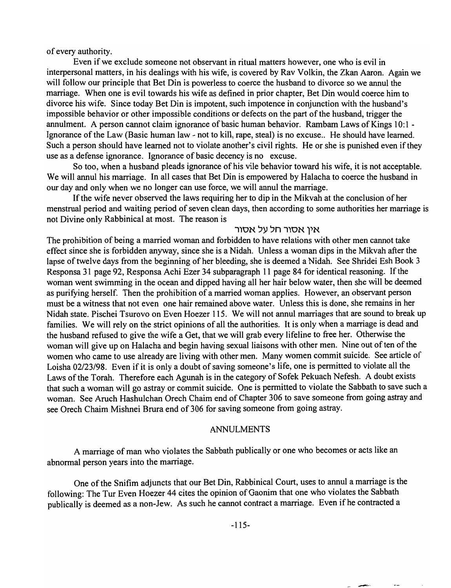of every authority.

Even if we exclude someone not observant in ritual matters however, one who is evil in interpersonal matters, in his dealings with his wife, is covered by Rav Volkin, the Zkan Aaron. Again we will follow our principle that Bet Din is powerless to coerce the husband to divorce so we annul the marriage. When one is evil towards his wife as defined in prior chapter, Bet Din would coerce him to divorce his wife. Since today Bet Din is impotent, such impotence in conjunction with the husband's impossible behavior or other impossible conditions or defects on the part of the husband, trigger the annulment. A person cannot claim ignorance of basic human behavior. Rambam Laws of Kings 10:1 -Ignorance of the Law (Basic human law - not to kill, rape, steal) is no excuse.. He should have learned. Such a person should have learned not to violate another's civil rights. He or she is punished even if they use as a defense ignorance. Ignorance of basic decency is no excuse.

So too, when a husband pleads ignorance of his vile behavior toward his wife, it is not acceptable. We will annul his marriage. In all cases that Bet Din is empowered by Halacha to coerce the husband in our day and only when we no longer can use force, we will annul the marriage.

If the wife never observed the laws requiring her to dip in the Mikvah at the conclusion of her menstrual period and waiting period of seven clean days, then according to some authorities her marriage is not Divine only Rabbinical at most. The reason is

## אין אסור חל על אסור

The prohibition of being a married woman and forbidden to have relations with other men cannot take effect since she is forbidden anyway, since she is a Nidah. Unless a woman dips in the Mikvah after the lapse of twelve days from the beginning of her bleeding, she is deemed a Nidah. See Shridei Esh Book 3 Responsa 31 page 92, Responsa Achi Ezer 34 subparagraph 11 page 84 for identical reasoning. If the woman went swimming in the ocean and dipped having all her hair below water, then she will be deemed as purifying herself. Then the prohibition of a married woman applies. However, an observant person must be a witness that not even one hair remained above water. Unless this is done, she remains in her Nidah state. Pischei Tsurovo on Even Hoezer 115. We will not annul marriages that are sound to break up families. We will rely on the strict opinions of all the authorities. It is only when a marriage is dead and the husband refused to give the wife a Get, that we will grab every lifeline to free her. Otherwise the woman will give up on Halacha and begin having sexual liaisons with other men. Nine out of ten of the women who came to use already are living with other men. Many women commit suicide. See article of Loisha 02/23/98. Even if it is only a doubt of saving someone's life, one is permitted to violate all the Laws of the Torah. Therefore each Agunah is in the category of Sofek Pekuach Nefesh. A doubt exists that such a woman will go astray or commit suicide. One is permitted to violate the Sabbath to save such a woman. See Aruch Hashulchan Orech Chaim end of Chapter 306 to save someone from going astray and see Orech Chaim Mishnei Brura end of 306 for saving someone from going astray.

#### ANNULMENTS

A marriage of man who violates the Sabbath publically or one who becomes or acts like an abnormal person years into the marriage.

One of the Snifim adjuncts that our Bet Din, Rabbinical Court, uses to annul a marriage is the following: The Tur Even Hoezer 44 cites the opinion of Gaonim that one who violates the Sabbath publically is deemed as a non-Jew. As such he cannot contract a marriage. Even if he contracted a

--~.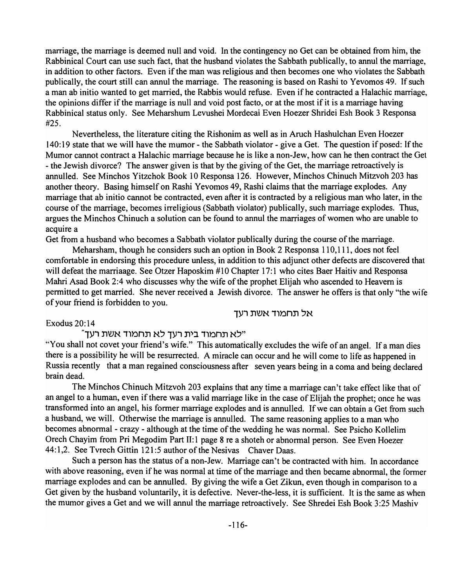marriage, the marriage is deemed null and void. In the contingency no Get can be obtained from him, the Rabbinical Court can use such fact, that the husband violates the Sabbath publically, to annul the marriage, in addition to other factors. Even if the man was religious and then becomes one who violates the Sabbath publically, the court still can annul the marriage. The reasoning is based on Rashi to Yevomos 49. If such a man ab initio wanted to get married, the Rabbis would refuse. Even if he contracted a Halachic marriage, the opinions differ if the marriage is null and void post facto, or at the most if it is a marriage having Rabbinical status only. See Meharshum Levushei Mordecai Even Hoezer Shridei Esh Book 3 Responsa #25.

Nevertheless, the literature citing the Rishonim as well as in Aruch Hashulchan Even Hoezer 140: 19 state that we will have the mumor - the Sabbath violator - give a Get. The question if posed: If the Mumor cannot contract a Halachic marriage because he is like a non-Jew, how can he then contract the Get - the Jewish divorce? The answer given is that by the giving of the Get, the marriage retroactively is annulled. See Minchos Yitzchok Book 10 Responsa 126. However, Minchos Chinuch Mitzvoh 203 has another theory. Basing himself on Rashi Yevomos 49, Rashi claims that the marriage explodes. Any marriage that ab initio cannot be contracted, even after it is contracted by a religious man who later, in the course of the marriage, becomes irreligious (Sabbath violator) publically, such marriage explodes. Thus, argues the Minchos Chinuch a solution can be found to annul the marriages of women who are unable to acquire a

Get from a husband who becomes a Sabbath violator publically during the course of the marriage.

Meharsham, though he considers such an option in Book 2 Responsa 110,111, does not feel comfortable in endorsing this procedure unless, in addition to this adjunct other defects are discovered that will defeat the marriaage. See Otzer Haposkim #10 Chapter 17:1 who cites Baer Haitiv and Responsa Mahri Asad Book 2:4 who discusses why the wife of the prophet Elijah who ascended to Heavern is permitted to get married. She never received a Jewish divorce. The answer he offers is that only "the wife of your friend is forbidden to you.

אל תחמוד אשת רעד

Exodus 20:14

 $\dot{}$ לא תחמוד בית רעך לא תחמוד אשת רעך"

"You shall not covet your friend's wife." This automatically excludes the wife of an angel. If a man dies there is a possibility he will be resurrected. A miracle can occur and he will come to life as happened in Russia recently that a man regained consciousness after seven years being in a coma and being declared brain dead.

The Minchos Chinuch Mitzvoh 203 explains that any time a marriage can't take effect like that of an angel to a human, even if there was a valid marriage like in the case of Elijah the prophet; once he was transformed into an angel, his former marriage explodes and is annulled. If we can obtain a Get from such a husband, we will. Otherwise the marriage is annulled. The same reasoning applies to a man who becomes abnormal - crazy - although at the time of the wedding he was normal. See Psicho Kollelim Orech Chayim from Pri Megodim Part II:1 page 8 re a shoteh or abnormal person. See Even Hoezer 44:1,2. See Tvrech Gittin 121:5 author of the Nesivas Chaver Daas.

Such a person has the status of a non-Jew. Marriage can't be contracted with him. In accordance with above reasoning, even if he was normal at time of the marriage and then became abnormal, the former marriage explodes and can be annulled. By giving the wife a Get Zikun, even though in comparison to a Get given by the husband voluntarily, it is defective. Never-the-Iess, it is sufficient. It is the same as when the mumor gives a Get and we will annul the marriage retroactively. See Shredei Esh Book 3:25 Mashiv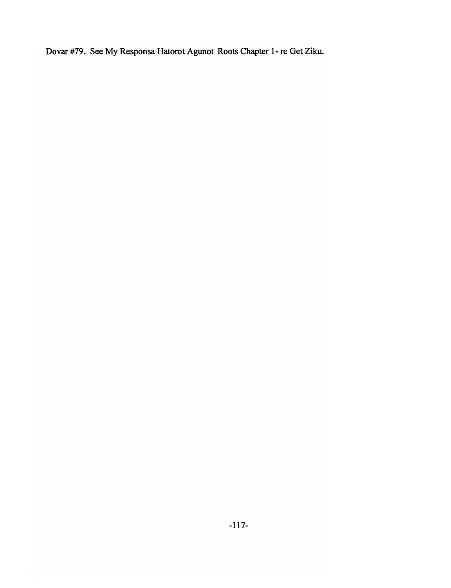Dovar #79. See My Responsa Hatorot Agunot Roots Chapter 1- re Get Ziku.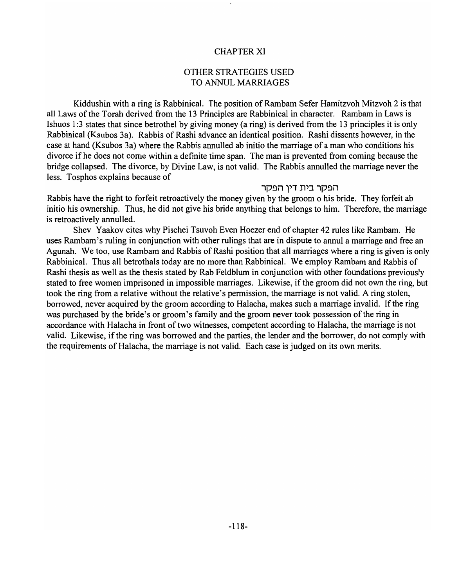## CHAPTER XI

## OTHER STRATEGIES USED TO ANNUL MARRIAGES

Kiddushin with a ring is Rabbinical. The position of Rambam Sefer Hamitzvoh Mitzvoh 2 is that all Laws of the Torah derived from the 13 Principles are Rabbinical in character. Rambam in Laws is Ishuos 1:3 states that since betrothel by giving money (a ring) is derived from the 13 principles it is only Rabbinical (Ksubos 3a). Rabbis of Rashi advance an identical position. Rashi dissents however, in the case at hand (Ksubos 3a) where the Rabbis annulled ab initio the marriage of a man who conditions his divorce if he does not come within a definite time span. The man is prevented from coming because the bridge collapsed. The divorce, by Divine Law, is not valid. The Rabbis annulled the marriage never the less. Tosphos explains because of

#### הפקר בית דין הפקר

Rabbis have the right to forfeit retroactively the money given by the groom 0 his bride. They forfeit ab initio his ownership. Thus, he did not give his bride anything that belongs to him. Therefore, the marriage is retroactively annulled.

Shev Yaakov cites why Pischei Tsuvoh Even Hoezer end of chapter 42 rules like Rambam. He uses Rambam's ruling in conjunction with other rulings that are in dispute to annul a marriage and free an Agunah. We too, use Rambam and Rabbis of Rashi position that all marriages where a ring is given is only Rabbinical. Thus all betrothals today are no more than Rabbinical. We employ Rambam and Rabbis of Rashi thesis as well as the thesis stated by Rab Feldblum in conjunction with other foundations previously stated to free women imprisoned in impossible marriages. Likewise, if the groom did not own the ring, but took the ring from a relative without the relative's permission, the marriage is not valid. A ring stolen, borrowed, never acquired by the groom according to Halacha, makes such a marriage invalid. If the ring was purchased by the bride's or groom's family and the groom never took possession of the ring in accordance with Halacha in front of two witnesses, competent according to Halacha, the marriage is not valid. Likewise, if the ring was borrowed and the parties, the lender and the borrower, do not comply with the requirements of Halacha, the marriage is not valid. Each case is judged on its own merits.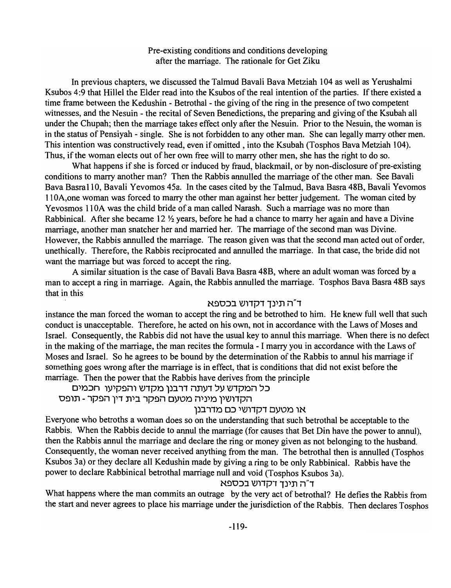## Pre-existing conditions and conditions developing after the marriage. The rationale for Get Ziku

In previous chapters, we discussed the Talmud Bavali Bava Metziah 104 as well as Yerushalmi Ksubos 4:9 that Hillel the Elder read into the Ksubos of the real intention of the parties. If there existed a time frame between the Kedushin - Betrothal - the giving of the ring in the presence of two competent witnesses, and the Nesuin - the recital of Seven Benedictions, the preparing and giving of the Ksubah all under the Chupah; then the marriage takes effect only after the Nesuin. Prior to the Nesuin, the woman is in the status of Pensiyah - single. She is not forbidden to any other man. She can legally marry other men. This intention was constructively read, even if omitted, into the Ksubah (Tosphos Bava Metziah 104). Thus, if the woman elects out of her own free will to marry other men, she has the right to do so.

What happens if she is forced or induced by fraud, blackmail, or by non-disclosure of pre-existing conditions to marry another man? Then the Rabbis annulled the marriage of the other man. See Bavali Bava Basra 1 10, Bavali Yevomos 45a. In the cases cited by the Talmud, Bava Basra 48B, Bavali Yevomos 110A,one woman was forced to marry the other man against her better judgement. The woman cited by Yevosmos 110A was the child bride of a man called Narash. Such a marriage was no more than Rabbinical. After she became 12  $\frac{1}{2}$  years, before he had a chance to marry her again and have a Divine marriage, another man snatcher her and married her. The marriage of the second man was Divine. However, the Rabbis annulled the marriage. The reason given was that the second man acted out of order, unethically. Therefore, the Rabbis reciprocated and annulled the marriage. In that case, the bride did not want the marriage but was forced to accept the ring.

A similar situation is the case of Bavali Bava Basra 48B, where an adult woman was forced by a man to accept a ring in marriage. Again, the Rabbis annulled the marriage. Tosphos Bava Basra 48B says that in this

#### ד"ה תינך דקדוש בכספא

instance the man forced the woman to accept the ring and be betrothed to him. He knew full well that such conduct is unacceptable. Therefore, he acted on his own, not in accordance with the Laws of Moses and Israel. Consequently, the Rabbis did not have the usual key to annul this marriage. When there is no defect in the making of the marriage, the man recites the formula - I marry you in accordance with the Laws of Moses and Israel. So he agrees to be bound by the determination of the Rabbis to annul his marriage if something goes wrong after the marriage is in effect, that is conditions that did not exist before the marriage. Then the power that the Rabbis have derives from the principle

כל המקדש על דעתה דרבנן מקדש והפקיעו חכמים

הקדושין מיניה מטעם הפקר בית דין הפקר - תופס

## או מטעם דקדושי כם מדרבנן

Everyone who betroths a woman does so on the understanding that such betrothal be acceptable to the Rabbis. When the Rabbis decide to annul the marriage (for causes that Bet Din have the power to annul), then the Rabbis annul the marriage and declare the ring or money given as not belonging to the husband. Consequently, the woman never received anything from the man. The betrothal then is annulled (Tosphos Ksubos 3a) or they declare all Kedushin made by giving a ring to be only Rabbinical. Rabbis have the power to declare Rabbinical betrothal marriage null and void (Tosphos Ksubos 3a).

## ד"ה תינד דקדוש בכספא

What happens where the man commits an outrage by the very act of betrothal? He defies the Rabbis from the start and never agrees to place his marriage under the jurisdiction of the Rabbis. Then declares Tosphos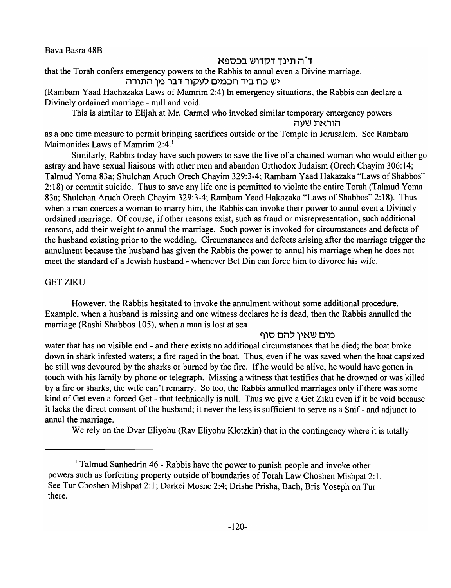Bava Basra 48B

## ד"ה תינד דקדוש בכספא

that the Torah confers emergency powers to the Rabbis to annul even a Divine marriage. יש כח ביד חכמים לעקור דבר מן התורה

(Rambam Yaad Hachazaka Laws of Mamrim 2:4) In emergency situations, the Rabbis can declare a Divinely ordained marriage - null and void.

This is similar to Elijah at Mr. Carmel who invoked similar temporary emergency powers הוראת שעה

as a one time measure to permit bringing sacrifices outside or the Temple in Jerusalem. See Rambam Maimonides Laws of Mamrim 2:4.<sup>1</sup>

Similarly, Rabbis today have such powers to save the live of a chained woman who would either go astray and have sexual liaisons with other men and abandon Orthodox Judaism (Orech Chayim 306:14; Talmud Yoma 83a; Shulchan Aruch Orech Chayim 329:3-4; Rambam Yaad Hakazaka "Laws ofShabbos" 2:18) or commit suicide. Thus to save any life one is permitted to violate the entire Torah (Talmud Yoma 83a; Shulchan Aruch Orech Chayim 329:3-4; Rambam Yaad Hakazaka "Laws of Shabbos" 2: 18). Thus when a man coerces a woman to marry him, the Rabbis can invoke their power to annul even a Divinely ordained marriage. Of course, if other reasons exist, such as fraud or misrepresentation, such additional reasons, add their weight to annul the marriage. Such power is invoked for circumstances and defects of the husband existing prior to the wedding. Circumstances and defects arising after the marriage trigger the annulment because the husband has given the Rabbis the power to annul his marriage when he does not meet the standard of a Jewish husband - whenever Bet Din can force him to divorce his wife.

## **GET ZIKU**

However, the Rabbis hesitated to invoke the annulment without some additional procedure. Example, when a husband is missing and one witness declares he is dead, then the Rabbis annulled the marriage (Rashi Shabbos 105), when a man is lost at sea

## מים שאיו להם סוף

water that has no visible end - and there exists no additional circumstances that he died; the boat broke down in shark infested waters; a fire raged in the boat. Thus, even if he was saved when the boat capsized he still was devoured by the sharks or burned by the fire. If he would be alive, he would have gotten in touch with his family by phone or telegraph. Missing a witness that testifies that he drowned or was killed by a fire or sharks, the wife can't remarry. So too, the Rabbis annulled marriages only if there was some kind of Get even a forced Get - that technically is null. Thus we give a Get Ziku even if it be void because it lacks the direct consent of the husband; it never the less is sufficient to serve as a Snif - and adjunct to annul the marriage.

We rely on the Dvar Eliyohu (Rav Eliyohu Klotzkin) that in the contingency where it is totally

<sup>&</sup>lt;sup>1</sup> Talmud Sanhedrin 46 - Rabbis have the power to punish people and invoke other powers such as forfeiting property outside of boundaries of Torah Law Choshen Mishpat 2: 1. See Tur Choshen Mishpat 2: 1; Darkei Moshe 2:4; Drishe Prisha, Bach, Bris Yoseph on Tur there.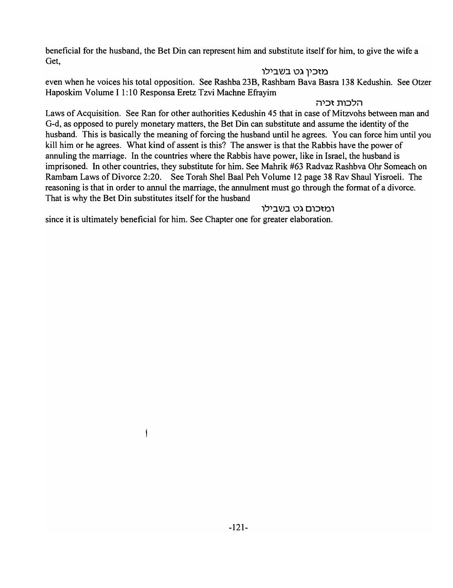beneficial for the husband, the Bet Din can represent him and substitute itself for him, to give the wife a Get,

# מזכין גט בשבילו

even when he voices his total opposition. See Rashba 23B, Rashbam Bava Basra 138 Kedushin. See Otzer Haposkim Volume I 1 :10 Responsa Eretz Tzvi Machne Efrayim

## . הלכות זכיה

Laws of Acquisition. See Ran for other authorities Kedushin 45 that in case of Mitzvohs between man and G-d, as opposed to purely monetary matters, the Bet Din can substitute and assume the identity of the husband. This is basically the meaning of forcing the husband until he agrees. You can force him until you kill him or he agrees. What kind of assent is this? The answer is that the Rabbis have the power of annuling the marriage. In the countries where the Rabbis have power, like in Israel, the husband is imprisoned. In other countries, they substitute for him. See Mahrik #63 Radvaz Rashbva Ohr Someach on Rambam Laws of Divorce 2:20. See Torah Shel Baal Peh Volume 12 page 38 Rav Shaul Yisroeli. The reasoning is that in order to annul the marriage, the annulment must go through the format of a divorce. That is why the Bet Din substitutes itself for the husband

# ומזכום גט בשבילו

since it is ultimately beneficial for him. See Chapter one for greater elaboration.

Ť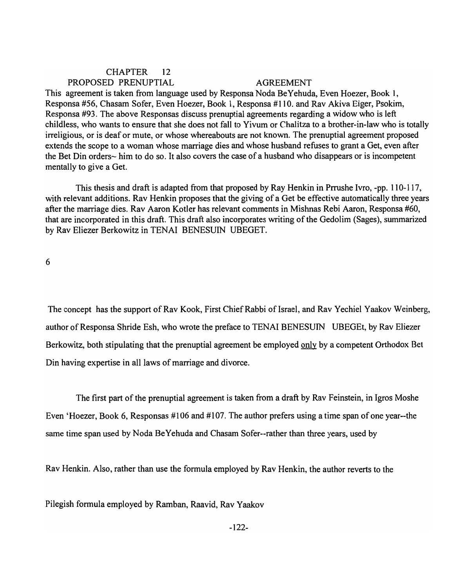# CHAPTER 12 PROPOSED PRENUPTIAL AGREEMENT

This agreement is taken from language used by Responsa Noda BeY ehuda, Even Hoezer, Book 1, Responsa #56, Chasam Sofer, Even Hoezer, Book 1, Responsa #110. and Rav Akiva Eiger, Psokim, Responsa #93. The above Responsas discuss prenuptial agreements regarding a widow who is left childless, who wants to ensure that she does not fall to Vivum or Chalitza to a brother-in-law who is totally irreligious, or is deaf or mute, or whose whereabouts are not known. The prenuptial agreement proposed extends the scope to a woman whose marriage dies and whose husband refuses to grant a Get, even after the Bet Din orders- him to do so. It also covers the case of a husband who disappears or is incompetent mentally to give a Get.

This thesis and draft is adapted from that proposed by Ray Henkin in Prrushe Ivro, -pp. 110-117, with relevant additions. Rav Henkin proposes that the giving of a Get be effective automatically three years after the marriage dies. Rav Aaron Kotler has relevant comments in Mishnas Rebi Aaron, Responsa #60, that are incorporated in this draft. This draft also incorporates writing of the Gedolim (Sages), summarized by Rav Eliezer Berkowitz in TENAI BENESUIN UBEGET.

6

The concept has the support of Rav Kook, First Chief Rabbi of Israel, and Rav Yechiel Yaakov Weinberg, author of Responsa Shride Esh, who wrote the preface to TENAI BENESUIN UBEGEt, by Rav Eliezer Berkowitz, both stipulating that the prenuptial agreement be employed only by a competent Orthodox Bet Din having expertise in all laws of marriage and divorce.

The first part of the prenuptial agreement is taken from a draft by Rav Feinstein, in Igros Moshe Even 'Hoezer, Book 6, Responsas #106 and #107. The author prefers using a time span of one year--the same time span used by Noda BeYehuda and Chasam Sofer--rather than three years, used by

Rav Henkin. Also, rather than use the formula employed by Rav Henkin, the author reverts to the

Pilegish formula employed by Ramban, Raavid, Rav Yaakov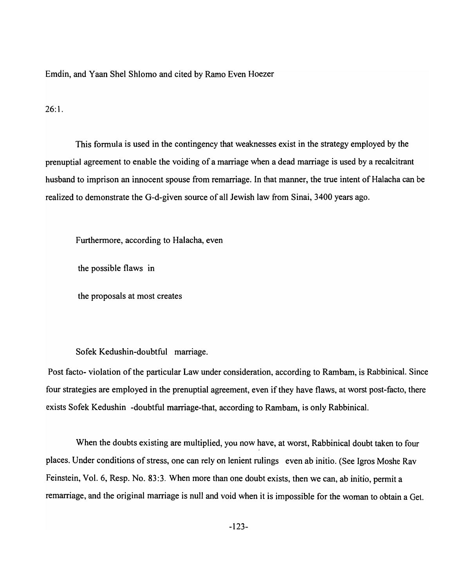Emdin, and Yaan Shel Shlomo and cited by Ramo Even Hoezer

26:1.

This formula is used in the contingency that weaknesses exist in the strategy employed by the prenuptial agreement to enable the voiding of a marriage when a dead marriage is used by a recalcitrant husband to imprison an innocent spouse from remarriage. In that manner, the true intent of Halacha can be realized to demonstrate the G-d-given source of all Jewish law from Sinai, 3400 years ago.

Furthermore, according to Halacha, even

the possible flaws in

the proposals at most creates

Sofek Kedushin-doubtful marriage.

Post facto- violation of the particular Law under consideration, according to Rambam, is Rabbinical. Since four strategies are employed in the prenuptial agreement, even if they have flaws, at worst post-facto, there exists Sofek Kedushin -doubtful marriage-that, according to Rambam, is only Rabbinical.

When the doubts existing are multiplied, you now have, at worst, Rabbinical doubt taken to four places. Under conditions of stress, one can rely on lenient rulings even ab initio. (See Igros Moshe Rav Feinstein, Vol. 6, Resp. No. 83:3. When more than one doubt exists, then we can, ab initio, permit a remarriage, and the original marriage is null and void when it is impossible for the woman to obtain a Get.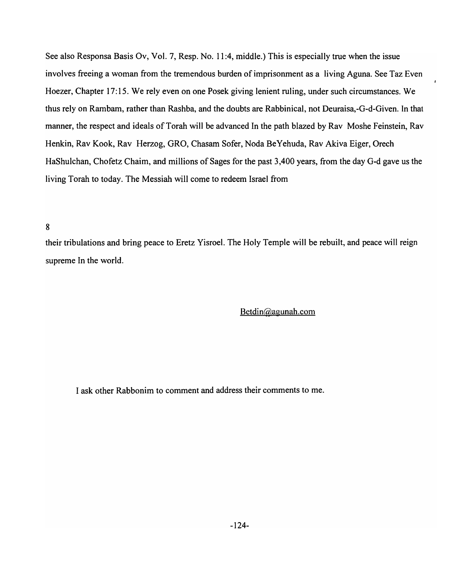See also Responsa Basis Ov, Vol. 7, Resp. No. 11 :4, middle.} This is especially true when the issue involves freeing a woman from the tremendous burden of imprisonment as a living Aguna. See Taz Even Hoezer, Chapter 17:15. We rely even on one Posek giving lenient ruling, under such circumstances. We thus rely on Rambam, rather than Rashba, and the doubts are Rabbinical, not Deuraisa,-G-d-Given. In that manner, the respect and ideals of Torah will be advanced In the path blazed by Rav Moshe Feinstein, Rav Henkin, Rav Kook, Rav Herzog, GRO, Chasam Sofer, Noda Be Yehuda, Rav Akiva Eiger, Orech HaShulchan, Chofetz Chaim, and millions of Sages for the past 3,400 years, from the day G-d gave us the living Torah to today. The Messiah will come to redeem Israel from

#### 8

their tribulations and bring peace to Eretz Yisroel. The Holy Temple will be rebuilt, and peace will reign supreme In the world.

## Betdin@agunah.com

I ask other Rabbonim to comment and address their comments to me.